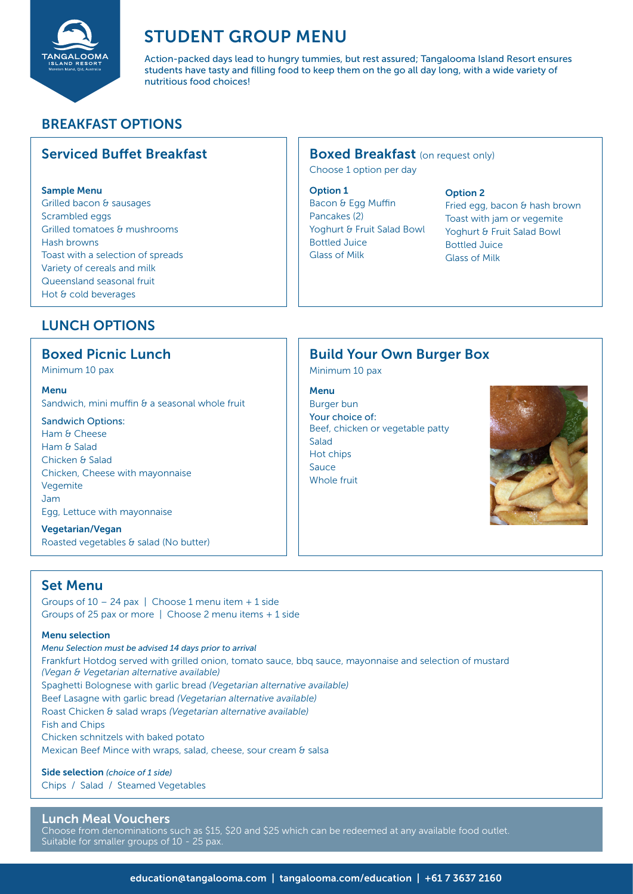

# STUDENT GROUP MENU

Action-packed days lead to hungry tummies, but rest assured; Tangalooma Island Resort ensures students have tasty and filling food to keep them on the go all day long, with a wide variety of nutritious food choices!

# BREAKFAST OPTIONS

# Serviced Buffet Breakfast

#### Sample Menu

Grilled bacon & sausages Scrambled eggs Grilled tomatoes & mushrooms Hash browns Toast with a selection of spreads Variety of cereals and milk Queensland seasonal fruit Hot & cold beverages

#### **Boxed Breakfast** (on request only)

Choose 1 option per day

#### Option 1

Bacon & Egg Muffin Pancakes (2) Yoghurt & Fruit Salad Bowl Bottled Juice Glass of Milk

#### Option 2

Fried egg, bacon & hash brown Toast with jam or vegemite Yoghurt & Fruit Salad Bowl Bottled Juice Glass of Milk

# LUNCH OPTIONS

#### Boxed Picnic Lunch

Minimum 10 pax

Menu

Sandwich, mini muffin & a seasonal whole fruit

#### Sandwich Options:

Ham & Cheese Ham & Salad Chicken & Salad Chicken, Cheese with mayonnaise **Vegemite** Jam Egg, Lettuce with mayonnaise

Vegetarian/Vegan Roasted vegetables & salad (No butter)

### Set Menu

Groups of  $10 - 24$  pax | Choose 1 menu item + 1 side Groups of 25 pax or more | Choose 2 menu items + 1 side

#### Menu selection

*Menu Selection must be advised 14 days prior to arrival* Frankfurt Hotdog served with grilled onion, tomato sauce, bbq sauce, mayonnaise and selection of mustard *(Vegan & Vegetarian alternative available)* Spaghetti Bolognese with garlic bread *(Vegetarian alternative available)* Beef Lasagne with garlic bread *(Vegetarian alternative available)* Roast Chicken & salad wraps *(Vegetarian alternative available)* Fish and Chips Chicken schnitzels with baked potato Mexican Beef Mince with wraps, salad, cheese, sour cream & salsa

# Side selection *(choice of 1 side)*

Chips / Salad / Steamed Vegetables

#### Lunch Meal Vouchers

Choose from denominations such as \$15, \$20 and \$25 which can be redeemed at any available food outlet. Suitable for smaller groups of 10 - 25 pax.

# Build Your Own Burger Box

Minimum 10 pax

#### Menu

Burger bun Your choice of: Beef, chicken or vegetable patty Salad Hot chips Sauce Whole fruit